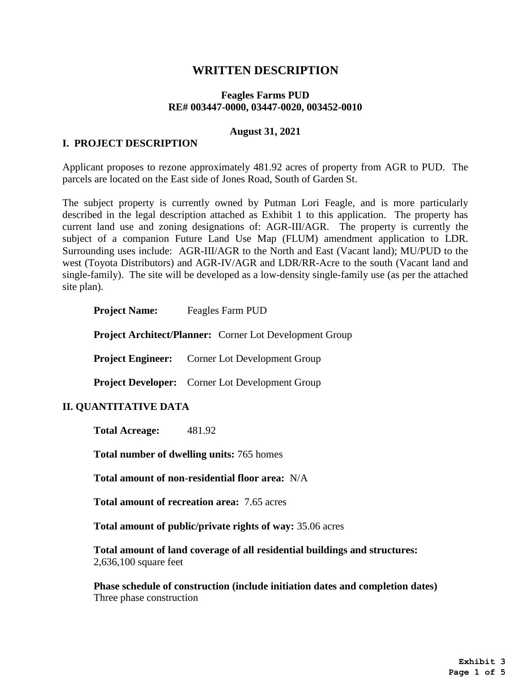# **WRITTEN DESCRIPTION**

#### **Feagles Farms PUD RE# 003447-0000, 03447-0020, 003452-0010**

#### **August 31, 2021**

### **I. PROJECT DESCRIPTION**

Applicant proposes to rezone approximately 481.92 acres of property from AGR to PUD. The parcels are located on the East side of Jones Road, South of Garden St.

The subject property is currently owned by Putman Lori Feagle, and is more particularly described in the legal description attached as Exhibit 1 to this application. The property has current land use and zoning designations of: AGR-III/AGR. The property is currently the subject of a companion Future Land Use Map (FLUM) amendment application to LDR. Surrounding uses include: AGR-III/AGR to the North and East (Vacant land); MU/PUD to the west (Toyota Distributors) and AGR-IV/AGR and LDR/RR-Acre to the south (Vacant land and single-family). The site will be developed as a low-density single-family use (as per the attached site plan).

| <b>Project Name:</b>                                           | Feagles Farm PUD                                       |
|----------------------------------------------------------------|--------------------------------------------------------|
| <b>Project Architect/Planner:</b> Corner Lot Development Group |                                                        |
| <b>Project Engineer:</b>                                       | <b>Corner Lot Development Group</b>                    |
|                                                                | <b>Project Developer:</b> Corner Lot Development Group |
| <b>II. QUANTITATIVE DATA</b>                                   |                                                        |

**Total Acreage:** 481.92

**Total number of dwelling units:** 765 homes

**Total amount of non-residential floor area:** N/A

**Total amount of recreation area:** 7.65 acres

**Total amount of public/private rights of way:** 35.06 acres

**Total amount of land coverage of all residential buildings and structures:**  2,636,100 square feet

**Phase schedule of construction (include initiation dates and completion dates)** Three phase construction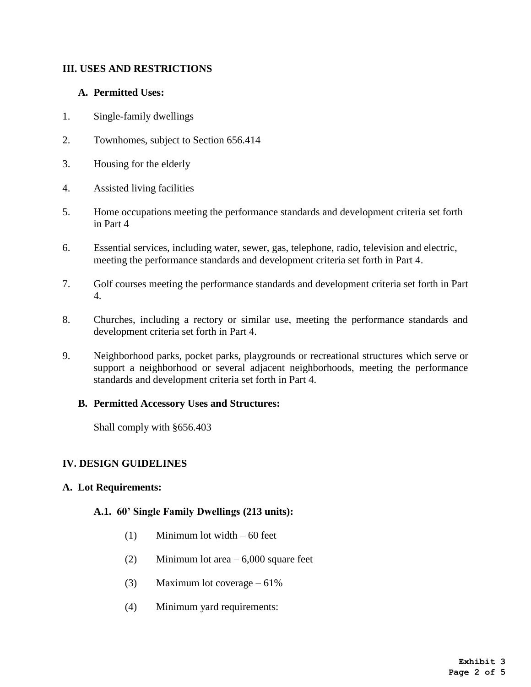## **III. USES AND RESTRICTIONS**

### **A. Permitted Uses:**

- 1. Single-family dwellings
- 2. Townhomes, subject to Section 656.414
- 3. Housing for the elderly
- 4. Assisted living facilities
- 5. Home occupations meeting the performance standards and development criteria set forth in Part 4
- 6. Essential services, including water, sewer, gas, telephone, radio, television and electric, meeting the performance standards and development criteria set forth in Part 4.
- 7. Golf courses meeting the performance standards and development criteria set forth in Part 4.
- 8. Churches, including a rectory or similar use, meeting the performance standards and development criteria set forth in Part 4.
- 9. Neighborhood parks, pocket parks, playgrounds or recreational structures which serve or support a neighborhood or several adjacent neighborhoods, meeting the performance standards and development criteria set forth in Part 4.

#### **B. Permitted Accessory Uses and Structures:**

Shall comply with §656.403

#### **IV. DESIGN GUIDELINES**

#### **A. Lot Requirements:**

#### **A.1. 60' Single Family Dwellings (213 units):**

- (1) Minimum lot width 60 feet
- (2) Minimum lot area 6,000 square feet
- (3) Maximum lot coverage  $-61\%$
- (4) Minimum yard requirements: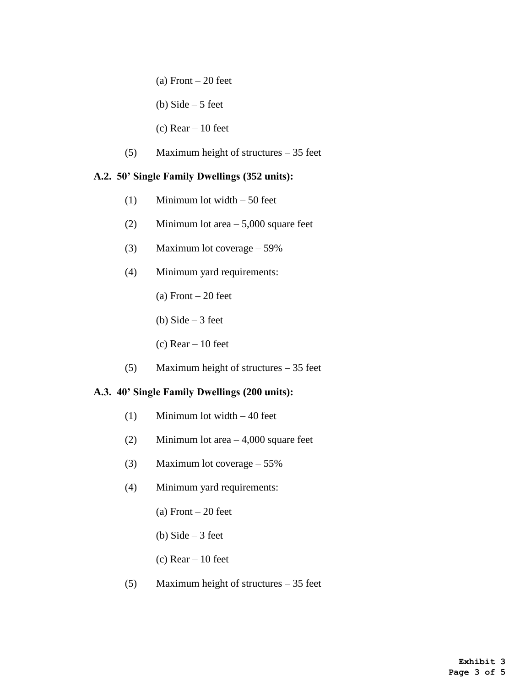- (a) Front  $-20$  feet
- (b) Side  $-5$  feet
- (c)  $Rear 10$  feet
- (5) Maximum height of structures 35 feet

#### **A.2. 50' Single Family Dwellings (352 units):**

- (1) Minimum lot width 50 feet
- (2) Minimum lot area 5,000 square feet
- (3) Maximum lot coverage 59%
- (4) Minimum yard requirements:
	- (a) Front  $-20$  feet
	- (b) Side  $-3$  feet
	- (c)  $Rear 10$  feet
- (5) Maximum height of structures 35 feet

#### **A.3. 40' Single Family Dwellings (200 units):**

- (1) Minimum lot width 40 feet
- (2) Minimum lot area 4,000 square feet
- (3) Maximum lot coverage 55%
- (4) Minimum yard requirements:
	- (a) Front  $-20$  feet
	- (b) Side  $-3$  feet
	- (c)  $Rear 10$  feet
- (5) Maximum height of structures 35 feet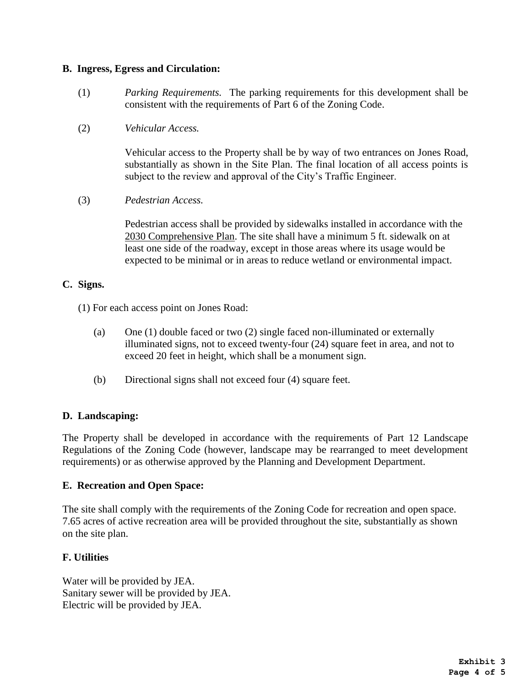#### **B. Ingress, Egress and Circulation:**

- (1) *Parking Requirements.* The parking requirements for this development shall be consistent with the requirements of Part 6 of the Zoning Code.
- (2) *Vehicular Access.*

Vehicular access to the Property shall be by way of two entrances on Jones Road, substantially as shown in the Site Plan. The final location of all access points is subject to the review and approval of the City's Traffic Engineer.

(3) *Pedestrian Access.*

Pedestrian access shall be provided by sidewalks installed in accordance with the 2030 Comprehensive Plan. The site shall have a minimum 5 ft. sidewalk on at least one side of the roadway, except in those areas where its usage would be expected to be minimal or in areas to reduce wetland or environmental impact.

## **C. Signs.**

(1) For each access point on Jones Road:

- (a) One (1) double faced or two (2) single faced non-illuminated or externally illuminated signs, not to exceed twenty-four (24) square feet in area, and not to exceed 20 feet in height, which shall be a monument sign.
- (b) Directional signs shall not exceed four (4) square feet.

#### **D. Landscaping:**

The Property shall be developed in accordance with the requirements of Part 12 Landscape Regulations of the Zoning Code (however, landscape may be rearranged to meet development requirements) or as otherwise approved by the Planning and Development Department.

#### **E. Recreation and Open Space:**

The site shall comply with the requirements of the Zoning Code for recreation and open space. 7.65 acres of active recreation area will be provided throughout the site, substantially as shown on the site plan.

#### **F. Utilities**

Water will be provided by JEA. Sanitary sewer will be provided by JEA. Electric will be provided by JEA.